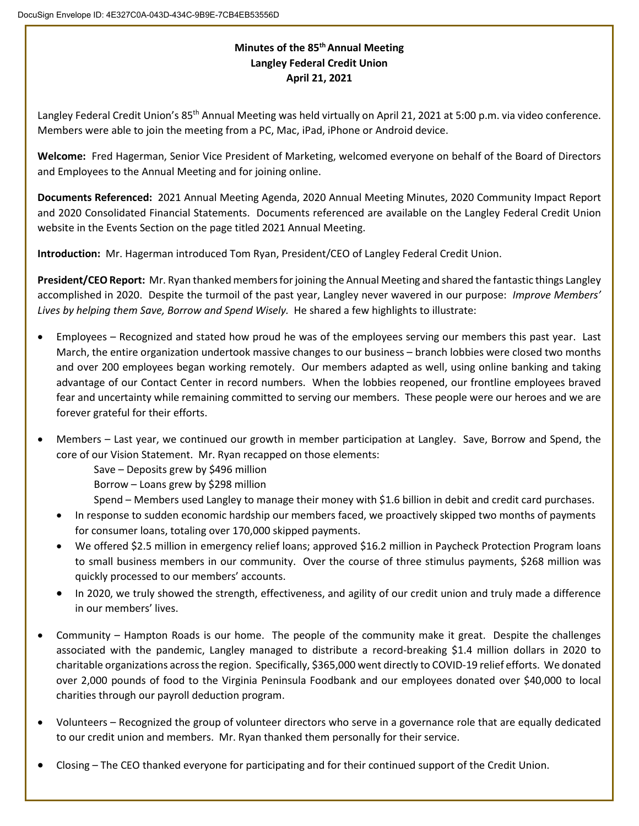## **Minutes of the 85th Annual Meeting Langley Federal Credit Union April 21, 2021**

Langley Federal Credit Union's 85<sup>th</sup> Annual Meeting was held virtually on April 21, 2021 at 5:00 p.m. via video conference. Members were able to join the meeting from a PC, Mac, iPad, iPhone or Android device.

**Welcome:** Fred Hagerman, Senior Vice President of Marketing, welcomed everyone on behalf of the Board of Directors and Employees to the Annual Meeting and for joining online.

**Documents Referenced:** 2021 Annual Meeting Agenda, 2020 Annual Meeting Minutes, 2020 Community Impact Report and 2020 Consolidated Financial Statements. Documents referenced are available on the Langley Federal Credit Union website in the Events Section on the page titled 2021 Annual Meeting.

**Introduction:** Mr. Hagerman introduced Tom Ryan, President/CEO of Langley Federal Credit Union.

**President/CEO Report:** Mr. Ryan thanked members for joining the Annual Meeting and shared the fantastic things Langley accomplished in 2020. Despite the turmoil of the past year, Langley never wavered in our purpose: *Improve Members' Lives by helping them Save, Borrow and Spend Wisely.* He shared a few highlights to illustrate:

- Employees Recognized and stated how proud he was of the employees serving our members this past year. Last March, the entire organization undertook massive changes to our business – branch lobbies were closed two months and over 200 employees began working remotely. Our members adapted as well, using online banking and taking advantage of our Contact Center in record numbers. When the lobbies reopened, our frontline employees braved fear and uncertainty while remaining committed to serving our members. These people were our heroes and we are forever grateful for their efforts.
- Members Last year, we continued our growth in member participation at Langley. Save, Borrow and Spend, the core of our Vision Statement. Mr. Ryan recapped on those elements:

Save – Deposits grew by \$496 million

Borrow – Loans grew by \$298 million

Spend – Members used Langley to manage their money with \$1.6 billion in debit and credit card purchases.

- In response to sudden economic hardship our members faced, we proactively skipped two months of payments for consumer loans, totaling over 170,000 skipped payments.
- We offered \$2.5 million in emergency relief loans; approved \$16.2 million in Paycheck Protection Program loans to small business members in our community. Over the course of three stimulus payments, \$268 million was quickly processed to our members' accounts.
- In 2020, we truly showed the strength, effectiveness, and agility of our credit union and truly made a difference in our members' lives.
- Community Hampton Roads is our home. The people of the community make it great. Despite the challenges associated with the pandemic, Langley managed to distribute a record-breaking \$1.4 million dollars in 2020 to charitable organizations across the region. Specifically, \$365,000 went directly to COVID-19 relief efforts. We donated over 2,000 pounds of food to the Virginia Peninsula Foodbank and our employees donated over \$40,000 to local charities through our payroll deduction program.
- Volunteers Recognized the group of volunteer directors who serve in a governance role that are equally dedicated to our credit union and members. Mr. Ryan thanked them personally for their service.
- Closing The CEO thanked everyone for participating and for their continued support of the Credit Union.